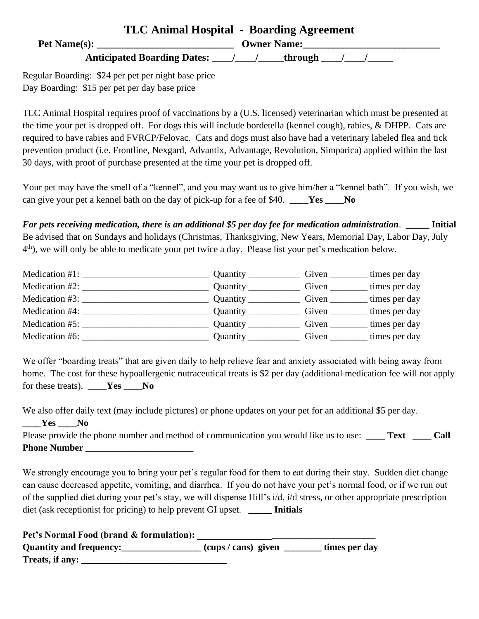| TLC Animal Hospital - Boarding Agreement |                    |  |
|------------------------------------------|--------------------|--|
| <b>Pet Name(s):</b>                      | <b>Owner Name:</b> |  |
| <b>Anticipated Boarding Dates:</b>       | _through           |  |

Regular Boarding: \$24 per pet per night base price Day Boarding: \$15 per pet per day base price

TLC Animal Hospital requires proof of vaccinations by a (U.S. licensed) veterinarian which must be presented at the time your pet is dropped off. For dogs this will include bordetella (kennel cough), rabies, & DHPP. Cats are required to have rabies and FVRCP/Felovac. Cats and dogs must also have had a veterinary labeled flea and tick prevention product (i.e. Frontline, Nexgard, Advantix, Advantage, Revolution, Simparica) applied within the last 30 days, with proof of purchase presented at the time your pet is dropped off.

Your pet may have the smell of a "kennel", and you may want us to give him/her a "kennel bath". If you wish, we can give your pet a kennel bath on the day of pick-up for a fee of \$40. **\_\_\_\_Yes \_\_\_\_No**

*For pets receiving medication, there is an additional \$5 per day fee for medication administration*. **\_\_\_\_\_ Initial** Be advised that on Sundays and holidays (Christmas, Thanksgiving, New Years, Memorial Day, Labor Day, July 4<sup>th</sup>), we will only be able to medicate your pet twice a day. Please list your pet's medication below.

|                                                                                                             |          | Given                          | times per day |
|-------------------------------------------------------------------------------------------------------------|----------|--------------------------------|---------------|
|                                                                                                             |          | Given                          | times per day |
| Medication #3:<br>the control of the control of the control of the control of the control of the control of |          | Given                          | times per day |
| Medication #4:                                                                                              |          | Given __________ times per day |               |
|                                                                                                             | Quantity | Given                          | times per day |
| Medication #6:                                                                                              | Quantity | Given                          | times per day |

We offer "boarding treats" that are given daily to help relieve fear and anxiety associated with being away from home. The cost for these hypoallergenic nutraceutical treats is \$2 per day (additional medication fee will not apply for these treats). **\_\_\_\_Yes \_\_\_\_No**

| We also offer daily text (may include pictures) or phone updates on your pet for an additional \$5 per day. |        |
|-------------------------------------------------------------------------------------------------------------|--------|
| $\rule{1em}{0.15mm}$ $\qquad$ Yes<br>No.                                                                    |        |
| Please provide the phone number and method of communication you would like us to use: Text                  | - Call |
| <b>Phone Number</b>                                                                                         |        |

We strongly encourage you to bring your pet's regular food for them to eat during their stay. Sudden diet change can cause decreased appetite, vomiting, and diarrhea. If you do not have your pet's normal food, or if we run out of the supplied diet during your pet's stay, we will dispense Hill's i/d, i/d stress, or other appropriate prescription diet (ask receptionist for pricing) to help prevent GI upset. **\_\_\_\_\_ Initials**

| Pet's Normal Food (brand & formulation): |                   |               |
|------------------------------------------|-------------------|---------------|
| <b>Quantity and frequency:</b>           | (cups/cans) given | times per day |
| Treats, if any:                          |                   |               |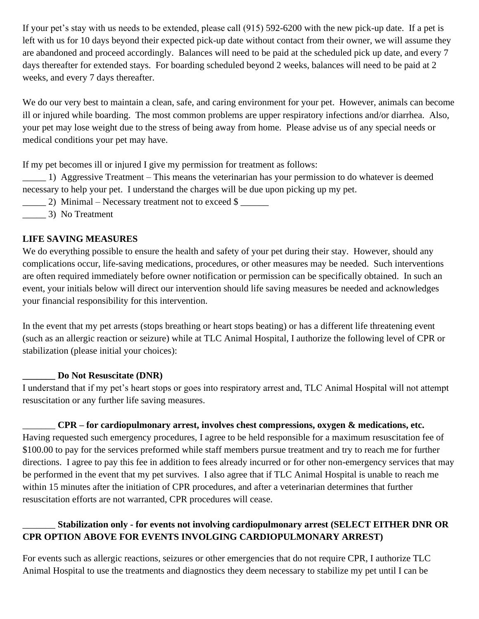If your pet's stay with us needs to be extended, please call (915) 592-6200 with the new pick-up date. If a pet is left with us for 10 days beyond their expected pick-up date without contact from their owner, we will assume they are abandoned and proceed accordingly. Balances will need to be paid at the scheduled pick up date, and every 7 days thereafter for extended stays. For boarding scheduled beyond 2 weeks, balances will need to be paid at 2 weeks, and every 7 days thereafter.

We do our very best to maintain a clean, safe, and caring environment for your pet. However, animals can become ill or injured while boarding. The most common problems are upper respiratory infections and/or diarrhea. Also, your pet may lose weight due to the stress of being away from home. Please advise us of any special needs or medical conditions your pet may have.

If my pet becomes ill or injured I give my permission for treatment as follows:

\_\_\_\_\_ 1) Aggressive Treatment – This means the veterinarian has your permission to do whatever is deemed necessary to help your pet. I understand the charges will be due upon picking up my pet.

- $\frac{2}{\sqrt{2}}$  Minimal Necessary treatment not to exceed \$
- \_\_\_\_\_ 3) No Treatment

## **LIFE SAVING MEASURES**

We do everything possible to ensure the health and safety of your pet during their stay. However, should any complications occur, life-saving medications, procedures, or other measures may be needed. Such interventions are often required immediately before owner notification or permission can be specifically obtained. In such an event, your initials below will direct our intervention should life saving measures be needed and acknowledges your financial responsibility for this intervention.

In the event that my pet arrests (stops breathing or heart stops beating) or has a different life threatening event (such as an allergic reaction or seizure) while at TLC Animal Hospital, I authorize the following level of CPR or stabilization (please initial your choices):

## **\_\_\_\_\_\_\_ Do Not Resuscitate (DNR)**

I understand that if my pet's heart stops or goes into respiratory arrest and, TLC Animal Hospital will not attempt resuscitation or any further life saving measures.

## \_\_\_\_\_\_\_ **CPR – for cardiopulmonary arrest, involves chest compressions, oxygen & medications, etc.**

Having requested such emergency procedures, I agree to be held responsible for a maximum resuscitation fee of \$100.00 to pay for the services preformed while staff members pursue treatment and try to reach me for further directions. I agree to pay this fee in addition to fees already incurred or for other non-emergency services that may be performed in the event that my pet survives. I also agree that if TLC Animal Hospital is unable to reach me within 15 minutes after the initiation of CPR procedures, and after a veterinarian determines that further resuscitation efforts are not warranted, CPR procedures will cease.

## \_\_\_\_\_\_\_ **Stabilization only - for events not involving cardiopulmonary arrest (SELECT EITHER DNR OR CPR OPTION ABOVE FOR EVENTS INVOLGING CARDIOPULMONARY ARREST)**

For events such as allergic reactions, seizures or other emergencies that do not require CPR, I authorize TLC Animal Hospital to use the treatments and diagnostics they deem necessary to stabilize my pet until I can be